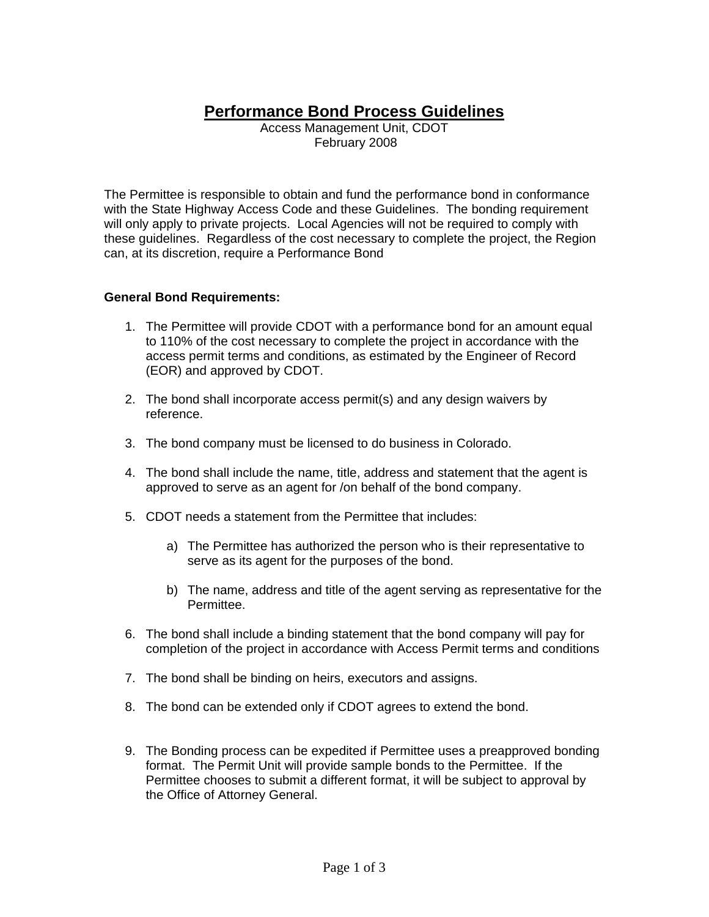# **Performance Bond Process Guidelines**

Access Management Unit, CDOT February 2008

The Permittee is responsible to obtain and fund the performance bond in conformance with the State Highway Access Code and these Guidelines. The bonding requirement will only apply to private projects. Local Agencies will not be required to comply with these guidelines. Regardless of the cost necessary to complete the project, the Region can, at its discretion, require a Performance Bond

#### **General Bond Requirements:**

- 1. The Permittee will provide CDOT with a performance bond for an amount equal to 110% of the cost necessary to complete the project in accordance with the access permit terms and conditions, as estimated by the Engineer of Record (EOR) and approved by CDOT.
- 2. The bond shall incorporate access permit(s) and any design waivers by reference.
- 3. The bond company must be licensed to do business in Colorado.
- 4. The bond shall include the name, title, address and statement that the agent is approved to serve as an agent for /on behalf of the bond company.
- 5. CDOT needs a statement from the Permittee that includes:
	- a) The Permittee has authorized the person who is their representative to serve as its agent for the purposes of the bond.
	- b) The name, address and title of the agent serving as representative for the Permittee.
- 6. The bond shall include a binding statement that the bond company will pay for completion of the project in accordance with Access Permit terms and conditions
- 7. The bond shall be binding on heirs, executors and assigns.
- 8. The bond can be extended only if CDOT agrees to extend the bond.
- 9. The Bonding process can be expedited if Permittee uses a preapproved bonding format. The Permit Unit will provide sample bonds to the Permittee. If the Permittee chooses to submit a different format, it will be subject to approval by the Office of Attorney General.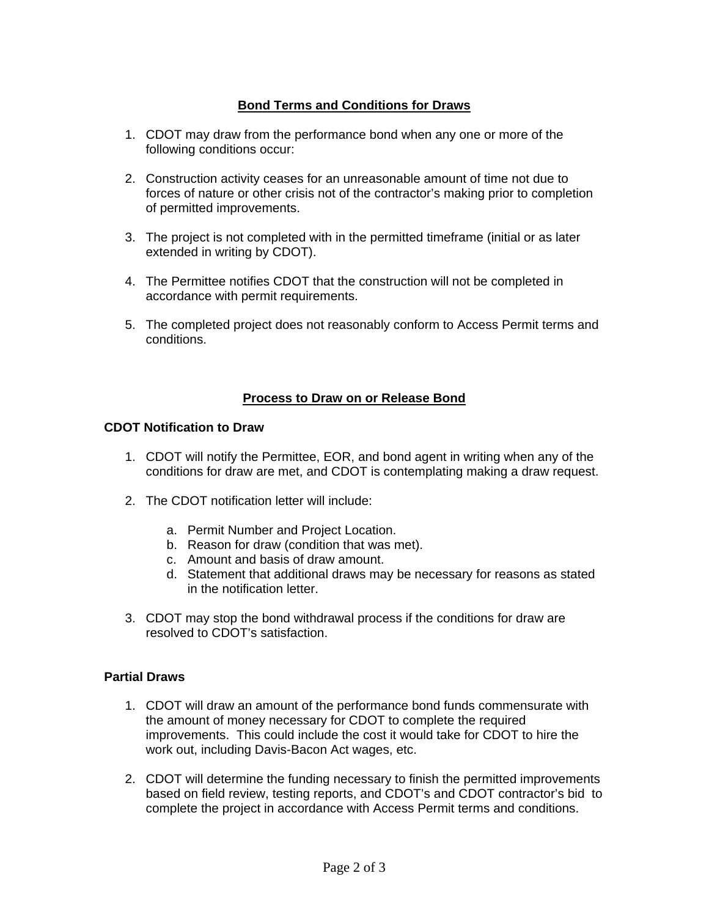## **Bond Terms and Conditions for Draws**

- 1. CDOT may draw from the performance bond when any one or more of the following conditions occur:
- 2. Construction activity ceases for an unreasonable amount of time not due to forces of nature or other crisis not of the contractor's making prior to completion of permitted improvements.
- 3. The project is not completed with in the permitted timeframe (initial or as later extended in writing by CDOT).
- 4. The Permittee notifies CDOT that the construction will not be completed in accordance with permit requirements.
- 5. The completed project does not reasonably conform to Access Permit terms and conditions.

## **Process to Draw on or Release Bond**

#### **CDOT Notification to Draw**

- 1. CDOT will notify the Permittee, EOR, and bond agent in writing when any of the conditions for draw are met, and CDOT is contemplating making a draw request.
- 2. The CDOT notification letter will include:
	- a. Permit Number and Project Location.
	- b. Reason for draw (condition that was met).
	- c. Amount and basis of draw amount.
	- d. Statement that additional draws may be necessary for reasons as stated in the notification letter.
- 3. CDOT may stop the bond withdrawal process if the conditions for draw are resolved to CDOT's satisfaction.

## **Partial Draws**

- 1. CDOT will draw an amount of the performance bond funds commensurate with the amount of money necessary for CDOT to complete the required improvements. This could include the cost it would take for CDOT to hire the work out, including Davis-Bacon Act wages, etc.
- 2. CDOT will determine the funding necessary to finish the permitted improvements based on field review, testing reports, and CDOT's and CDOT contractor's bid to complete the project in accordance with Access Permit terms and conditions.